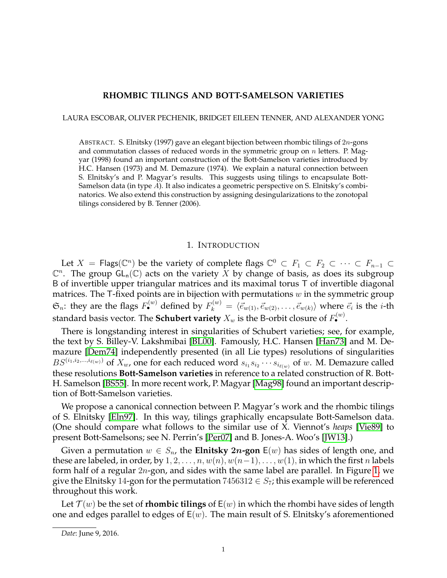# **RHOMBIC TILINGS AND BOTT-SAMELSON VARIETIES**

LAURA ESCOBAR, OLIVER PECHENIK, BRIDGET EILEEN TENNER, AND ALEXANDER YONG

ABSTRACT. S. Elnitsky (1997) gave an elegant bijection between rhombic tilings of 2n-gons and commutation classes of reduced words in the symmetric group on  $n$  letters. P. Magyar (1998) found an important construction of the Bott-Samelson varieties introduced by H.C. Hansen (1973) and M. Demazure (1974). We explain a natural connection between S. Elnitsky's and P. Magyar's results. This suggests using tilings to encapsulate Bott-Samelson data (in type A). It also indicates a geometric perspective on S. Elnitsky's combinatorics. We also extend this construction by assigning desingularizations to the zonotopal tilings considered by B. Tenner (2006).

### 1. INTRODUCTION

Let  $X = \mathsf{Flags}(\mathbb{C}^n)$  be the variety of complete flags  $\mathbb{C}^0 \subset F_1 \subset F_2 \subset \cdots \subset F_{n-1} \subset$  $\mathbb{C}^n$ . The group  $GL_n(\mathbb{C})$  acts on the variety  $X$  by change of basis, as does its subgroup B of invertible upper triangular matrices and its maximal torus T of invertible diagonal matrices. The T-fixed points are in bijection with permutations  $w$  in the symmetric group  $\mathfrak{S}_n$ : they are the flags  $F^{(w)}_\bullet$  defined by  $F^{(w)}_k = \langle \vec{e}_{w(1)}, \vec{e}_{w(2)}, \ldots, \vec{e}_{w(k)} \rangle$  where  $\vec{e}_i$  is the *i*-th standard basis vector. The **Schubert variety**  $X_w$  is the B-orbit closure of  $F^{(w)}_\bullet$ .

There is longstanding interest in singularities of Schubert varieties; see, for example, the text by S. Billey-V. Lakshmibai [\[BL00\]](#page-8-0). Famously, H.C. Hansen [\[Han73\]](#page-8-1) and M. Demazure [\[Dem74\]](#page-8-2) independently presented (in all Lie types) resolutions of singularities  $BS^{(i_1,i_2,...,i_{\ell(w)})}$  of  $X_w$ , one for each reduced word  $s_{i_1}s_{i_2}\cdots s_{i_{\ell(w)}}$  of w. M. Demazure called these resolutions **Bott-Samelson varieties** in reference to a related construction of R. Bott-H. Samelson [\[BS55\]](#page-8-3). In more recent work, P. Magyar [\[Mag98\]](#page-8-4) found an important description of Bott-Samelson varieties.

We propose a canonical connection between P. Magyar's work and the rhombic tilings of S. Elnitsky [\[Eln97\]](#page-8-5). In this way, tilings graphically encapsulate Bott-Samelson data. (One should compare what follows to the similar use of X. Viennot's *heaps* [\[Vie89\]](#page-8-6) to present Bott-Samelsons; see N. Perrin's [\[Per07\]](#page-8-7) and B. Jones-A. Woo's [\[JW13\]](#page-8-8).)

Given a permutation  $w \in S_n$ , the **Elnitsky 2n-gon**  $E(w)$  has sides of length one, and these are labeled, in order, by  $1, 2, \ldots, n, w(n), w(n-1), \ldots, w(1)$ , in which the first n labels form half of a regular 2n-gon, and sides with the same label are parallel. In Figure [1,](#page-1-0) we give the Elnitsky 14-gon for the permutation  $7456312 \in S_7$ ; this example will be referenced throughout this work.

Let  $\mathcal{T}(w)$  be the set of **rhombic tilings** of  $E(w)$  in which the rhombi have sides of length one and edges parallel to edges of  $E(w)$ . The main result of S. Elnitsky's aforementioned

*Date*: June 9, 2016.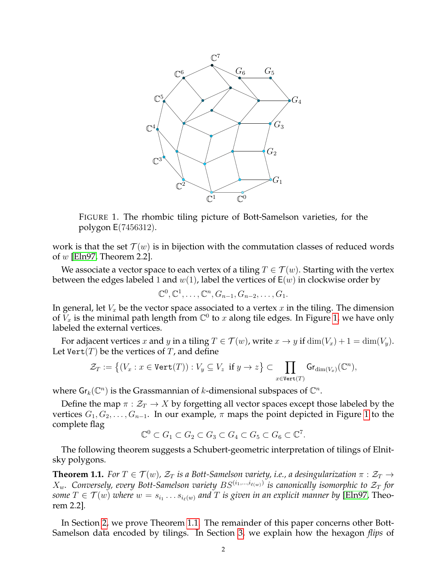

<span id="page-1-0"></span>FIGURE 1. The rhombic tiling picture of Bott-Samelson varieties, for the polygon E(7456312).

work is that the set  $\mathcal{T}(w)$  is in bijection with the commutation classes of reduced words of  $w$  [\[Eln97,](#page-8-5) Theorem 2.2].

We associate a vector space to each vertex of a tiling  $T \in \mathcal{T}(w)$ . Starting with the vertex between the edges labeled 1 and  $w(1)$ , label the vertices of  $E(w)$  in clockwise order by

$$
\mathbb{C}^0, \mathbb{C}^1, \ldots, \mathbb{C}^n, G_{n-1}, G_{n-2}, \ldots, G_1.
$$

In general, let  $V_x$  be the vector space associated to a vertex  $x$  in the tiling. The dimension of  $\breve{V}_x$  is the minimal path length from  $\mathbb{C}^0$  to  $x$  along tile edges. In Figure [1,](#page-1-0) we have only labeled the external vertices.

For adjacent vertices x and y in a tiling  $T \in \mathcal{T}(w)$ , write  $x \to y$  if  $\dim(V_x) + 1 = \dim(V_y)$ . Let Vert(*T*) be the vertices of *T*, and define

$$
\mathcal{Z}_T := \big\{ (V_x : x \in \text{Vert}(T)) : V_y \subseteq V_z \text{ if } y \to z \big\} \subset \prod_{x \in \text{Vert}(T)} \text{Gr}_{\text{dim}(V_x)}(\mathbb{C}^n),
$$

where  $\mathsf{Gr}_k(\mathbb{C}^n)$  is the Grassmannian of  $k$ -dimensional subspaces of  $\mathbb{C}^n$ .

Define the map  $\pi : \mathcal{Z}_T \to X$  by forgetting all vector spaces except those labeled by the vertices  $G_1, G_2, \ldots, G_{n-1}$ . In our example,  $\pi$  maps the point depicted in Figure [1](#page-1-0) to the complete flag

$$
\mathbb{C}^0 \subset G_1 \subset G_2 \subset G_3 \subset G_4 \subset G_5 \subset G_6 \subset \mathbb{C}^7.
$$

The following theorem suggests a Schubert-geometric interpretation of tilings of Elnitsky polygons.

<span id="page-1-1"></span>**Theorem 1.1.** *For*  $T \in \mathcal{T}(w)$ ,  $\mathcal{Z}_T$  *is a Bott-Samelson variety, i.e., a desingularization*  $\pi : \mathcal{Z}_T \to$  $X_w$ . Conversely, every Bott-Samelson variety  $BS^{(i_1,...,i_{\ell(w)})}$  is canonically isomorphic to  $\mathcal{Z}_T$  for some  $T \in \mathcal{T}(w)$  where  $w = s_{i_1} \dots s_{i_\ell(w)}$  and  $T$  is given in an explicit manner by [\[Eln97,](#page-8-5) Theorem 2.2]*.*

In Section [2,](#page-2-0) we prove Theorem [1.1.](#page-1-1) The remainder of this paper concerns other Bott-Samelson data encoded by tilings. In Section [3,](#page-3-0) we explain how the hexagon *flips* of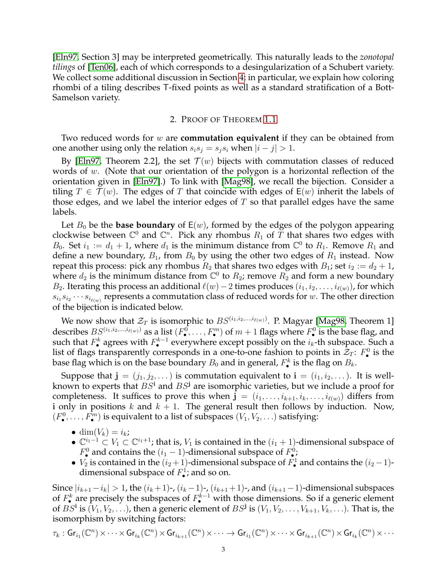[\[Eln97,](#page-8-5) Section 3] may be interpreted geometrically. This naturally leads to the *zonotopal tilings* of [\[Ten06\]](#page-8-9), each of which corresponds to a desingularization of a Schubert variety. We collect some additional discussion in Section [4;](#page-6-0) in particular, we explain how coloring rhombi of a tiling describes T-fixed points as well as a standard stratification of a Bott-Samelson variety.

## 2. PROOF OF THEOREM [1.1](#page-1-1)

<span id="page-2-0"></span>Two reduced words for w are **commutation equivalent** if they can be obtained from one another using only the relation  $s_i s_j = s_j s_i$  when  $|i - j| > 1$ .

By [\[Eln97,](#page-8-5) Theorem 2.2], the set  $\mathcal{T}(w)$  bijects with commutation classes of reduced words of  $w$ . (Note that our orientation of the polygon is a horizontal reflection of the orientation given in [\[Eln97\]](#page-8-5).) To link with [\[Mag98\]](#page-8-4), we recall the bijection. Consider a tiling  $T \in \mathcal{T}(w)$ . The edges of T that coincide with edges of  $E(w)$  inherit the labels of those edges, and we label the interior edges of  $T$  so that parallel edges have the same labels.

Let  $B_0$  be the **base boundary** of  $E(w)$ , formed by the edges of the polygon appearing clockwise between  $\mathbb{C}^0$  and  $\mathbb{C}^n$ . Pick any rhombus  $R_1$  of  $\widetilde{T}$  that shares two edges with  $B_0$ . Set  $i_1 := d_1 + 1$ , where  $d_1$  is the minimum distance from  $\mathbb{C}^0$  to  $R_1$ . Remove  $R_1$  and define a new boundary,  $B_1$ , from  $B_0$  by using the other two edges of  $R_1$  instead. Now repeat this process: pick any rhombus  $R_2$  that shares two edges with  $B_1$ ; set  $i_2 := d_2 + 1$ , where  $d_2$  is the minimum distance from  $\mathbb{C}^0$  to  $R_2$ ; remove  $R_2$  and form a new boundary *B*<sub>2</sub>. Iterating this process an additional  $\ell(w)$  − 2 times produces  $(i_1, i_2, \ldots, i_{\ell(w)})$ , for which  $s_{i_1} s_{i_2} \cdots s_{i_{\ell(w)}}$  represents a commutation class of reduced words for w. The other direction of the bijection is indicated below.

We now show that  $\mathcal{Z}_T$  is isomorphic to  $BS^{(i_1,i_2,...,i_{\ell(w)})}$ . P. Magyar [\[Mag98,](#page-8-4) Theorem 1] describes  $BS^{(i_1,i_2,...,i_{\ell(w)})}$  as a list  $(F^0_\bullet,\ldots,F^m_\bullet)$  of  $m+1$  flags where  $F^0_\bullet$  is the base flag, and such that  $F_{\bullet}^{k}$  agrees with  $F_{\bullet}^{k-1}$  everywhere except possibly on the  $i_k$ -th subspace. Such a list of flags transparently corresponds in a one-to-one fashion to points in  $\mathcal{Z}_T$ :  $F^0_{\bullet}$  is the base flag which is on the base boundary  $B_0$  and in general,  $F_\bullet^k$  is the flag on  $B_k.$ 

Suppose that  $\mathbf{j} = (j_1, j_2, \dots)$  is commutation equivalent to  $\mathbf{i} = (i_1, i_2, \dots)$ . It is wellknown to experts that  $BS^i$  and  $BS^j$  are isomorphic varieties, but we include a proof for completeness. It suffices to prove this when  $\mathbf{j} = (i_1, \ldots, i_{k+1}, i_k, \ldots, i_{\ell(w)})$  differs from i only in positions k and  $k + 1$ . The general result then follows by induction. Now,  $(F_{\bullet}^0, \ldots, F_{\bullet}^m)$  is equivalent to a list of subspaces  $(V_1, V_2, \ldots)$  satisfying:

- dim $(V_k) = i_k$ ;
- $\mathbb{C}^{i_1-1} \subset V_1 \subset \mathbb{C}^{i_1+1}$ ; that is,  $V_1$  is contained in the  $(i_1 + 1)$ -dimensional subspace of  $F_{\bullet}^{0}$  and contains the  $(i_1 - 1)$ -dimensional subspace of  $F_{\bullet}^{0}$ ;
- $V_2$  is contained in the  $(i_2+1)$ -dimensional subspace of  $F^1_\bullet$  and contains the  $(i_2-1)$ dimensional subspace of  $F^1_{\bullet}$ ; and so on.

Since  $|i_{k+1} - i_k| > 1$ , the  $(i_k + 1)$ -,  $(i_k - 1)$ -,  $(i_{k+1} + 1)$ -, and  $(i_{k+1} - 1)$ -dimensional subspaces of  $F_{\bullet}^{k}$  are precisely the subspaces of  $F_{\bullet}^{k-1}$  with those dimensions. So if a generic element of  $BS^i$  is  $(V_1, V_2, ...)$ , then a generic element of  $BS^j$  is  $(V_1, V_2, ..., V_{k+1}, V_k, ...)$ . That is, the isomorphism by switching factors:

$$
\tau_k: \mathsf{Gr}_{i_1}(\mathbb{C}^n) \times \cdots \times \mathsf{Gr}_{i_k}(\mathbb{C}^n) \times \mathsf{Gr}_{i_{k+1}}(\mathbb{C}^n) \times \cdots \to \mathsf{Gr}_{i_1}(\mathbb{C}^n) \times \cdots \times \mathsf{Gr}_{i_{k+1}}(\mathbb{C}^n) \times \mathsf{Gr}_{i_k}(\mathbb{C}^n) \times \cdots
$$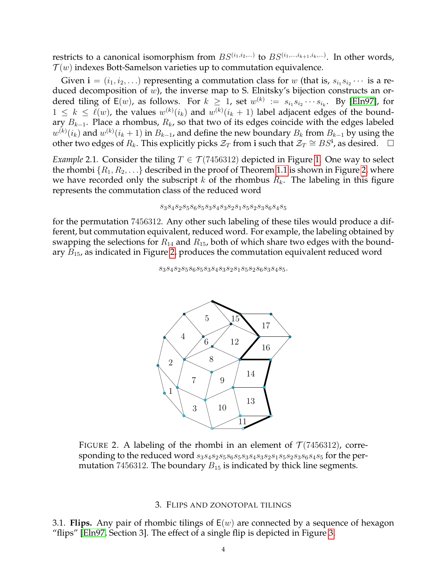restricts to a canonical isomorphism from  $BS^{(i_1,i_2,...)}$  to  $BS^{(i_1,...,i_{k+1},i_k,...)}$ . In other words,  $\mathcal{T}(w)$  indexes Bott-Samelson varieties up to commutation equivalence.

Given  ${\bf i} = (i_1, i_2, \ldots)$  representing a commutation class for  $w$  (that is,  $s_{i_1} s_{i_2} \cdots$  is a reduced decomposition of  $w$ ), the inverse map to S. Elnitsky's bijection constructs an ordered tiling of E(w), as follows. For  $k \geq 1$ , set  $w^{(k)} := s_{i_1} s_{i_2} \cdots s_{i_k}$ . By [\[Eln97\]](#page-8-5), for  $1 \leq k \leq \ell(w)$ , the values  $w^{(k)}(i_k)$  and  $w^{(k)}(i_k + 1)$  label adjacent edges of the boundary  $B_{k-1}$ . Place a rhombus,  $R_k$ , so that two of its edges coincide with the edges labeled  $w^{(k)}(i_k)$  and  $w^{(k)}(i_k+1)$  in  $B_{k-1}$ , and define the new boundary  $B_k$  from  $B_{k-1}$  by using the other two edges of  $R_k$ . This explicitly picks  $\mathcal{Z}_T$  from i such that  $\mathcal{Z}_T \cong BS^i$ , as desired.  $\Box$ 

*Example* 2.1. Consider the tiling  $T \in \mathcal{T}$  (7456312) depicted in Figure [1.](#page-1-0) One way to select the rhombi  $\{R_1, R_2, \ldots\}$  described in the proof of Theorem [1.1](#page-1-1) is shown in Figure [2,](#page-3-1) where we have recorded only the subscript k of the rhombus  $R_k$ . The labeling in this figure represents the commutation class of the reduced word

$$
s_3s_4s_2s_5s_6s_5s_3s_4s_3s_2s_1s_5s_2s_3s_6s_4s_5\\
$$

for the permutation 7456312. Any other such labeling of these tiles would produce a different, but commutation equivalent, reduced word. For example, the labeling obtained by swapping the selections for  $R_{14}$  and  $R_{15}$ , both of which share two edges with the boundary  $B_{15}$ , as indicated in Figure [2,](#page-3-1) produces the commutation equivalent reduced word

 $\label{eq:3} s_3s_4s_2s_5s_6s_5s_3s_4s_3s_2s_1s_5s_2s_6s_3s_4s_5.$ 

<span id="page-3-1"></span>

### 3. FLIPS AND ZONOTOPAL TILINGS

<span id="page-3-2"></span><span id="page-3-0"></span>3.1. **Flips.** Any pair of rhombic tilings of  $E(w)$  are connected by a sequence of hexagon "flips" [\[Eln97,](#page-8-5) Section 3]. The effect of a single flip is depicted in Figure [3.](#page-4-0)

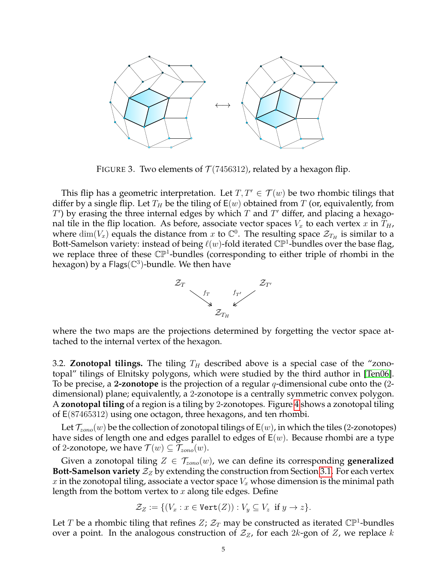

<span id="page-4-0"></span>FIGURE 3. Two elements of  $T(7456312)$ , related by a hexagon flip.

This flip has a geometric interpretation. Let  $T, T' \in \mathcal{T}(w)$  be two rhombic tilings that differ by a single flip. Let  $T_H$  be the tiling of  $E(w)$  obtained from T (or, equivalently, from  $T'$ ) by erasing the three internal edges by which  $T$  and  $T'$  differ, and placing a hexagonal tile in the flip location. As before, associate vector spaces  $V_x$  to each vertex x in  $T_H$ , where  $\dim(V_x)$  equals the distance from x to  $\mathbb{C}^0$ . The resulting space  $\mathcal{Z}_{T_H}$  is similar to a Bott-Samelson variety: instead of being  $\ell(w)$ -fold iterated  $\mathbb{CP}^1$ -bundles over the base flag, we replace three of these  $\mathbb{CP}^1$ -bundles (corresponding to either triple of rhombi in the hexagon) by a Flags( $\mathbb{C}^3$ )-bundle. We then have



where the two maps are the projections determined by forgetting the vector space attached to the internal vertex of the hexagon.

3.2. **Zonotopal tilings.** The tiling  $T_H$  described above is a special case of the "zonotopal" tilings of Elnitsky polygons, which were studied by the third author in [\[Ten06\]](#page-8-9). To be precise, a 2**-zonotope** is the projection of a regular q-dimensional cube onto the (2 dimensional) plane; equivalently, a 2-zonotope is a centrally symmetric convex polygon. A **zonotopal tiling** of a region is a tiling by 2-zonotopes. Figure [4](#page-5-0) shows a zonotopal tiling of E(87465312) using one octagon, three hexagons, and ten rhombi.

Let  $\mathcal{T}_{zono}(w)$  be the collection of zonotopal tilings of  $E(w)$ , in which the tiles (2-zonotopes) have sides of length one and edges parallel to edges of  $E(w)$ . Because rhombi are a type of 2-zonotope, we have  $\mathcal{T}(w) \subseteq \mathcal{T}_{zono}(w)$ .

Given a zonotopal tiling  $Z \in \mathcal{T}_{zono}(w)$ , we can define its corresponding **generalized Bott-Samelson variety**  $\mathcal{Z}_Z$  by extending the construction from Section [3.1.](#page-3-2) For each vertex x in the zonotopal tiling, associate a vector space  $V_x$  whose dimension is the minimal path length from the bottom vertex to  $x$  along tile edges. Define

$$
\mathcal{Z}_Z := \{ (V_x : x \in \text{Vert}(Z)) : V_y \subseteq V_z \text{ if } y \to z \}.
$$

Let T be a rhombic tiling that refines  $Z$ ;  $\mathcal{Z}_T$  may be constructed as iterated  $\mathbb{CP}^1$ -bundles over a point. In the analogous construction of  $\mathcal{Z}_Z$ , for each 2k-gon of Z, we replace k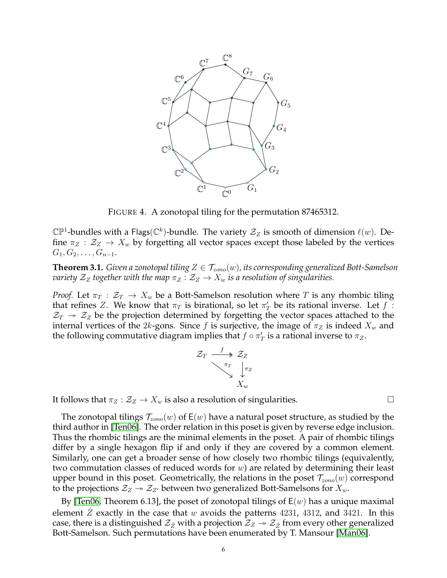

<span id="page-5-0"></span>FIGURE 4. A zonotopal tiling for the permutation 87465312.

 $\mathbb{CP}^1$ -bundles with a Flags $(\mathbb{C}^k)$ -bundle. The variety  $\mathcal{Z}_Z$  is smooth of dimension  $\ell(w)$ . Define  $\pi_Z : \mathcal{Z}_Z \to X_w$  by forgetting all vector spaces except those labeled by the vertices  $G_1, G_2, \ldots, G_{n-1}.$ 

**Theorem 3.1.** *Given a zonotopal tiling*  $Z \in \mathcal{T}_{zono}(w)$ , its corresponding generalized Bott-Samelson *variety*  $\mathcal{Z}_Z$  *together with the map*  $\pi_Z : \mathcal{Z}_Z \to X_w$  *is a resolution of singularities.* 

*Proof.* Let  $\pi_T : \mathcal{Z}_T \to X_w$  be a Bott-Samelson resolution where T is any rhombic tiling that refines Z. We know that  $\pi_T$  is birational, so let  $\pi'_T$  be its rational inverse. Let  $f$ :  $\mathcal{Z}_T \rightarrow \mathcal{Z}_Z$  be the projection determined by forgetting the vector spaces attached to the internal vertices of the 2k-gons. Since f is surjective, the image of  $\pi_Z$  is indeed  $X_w$  and the following commutative diagram implies that  $f \circ \pi_T'$  is a rational inverse to  $\pi_Z$ .



It follows that  $\pi_Z : \mathcal{Z}_Z \to X_w$  is also a resolution of singularities.

The zonotopal tilings  $\mathcal{T}_{zono}(w)$  of  $E(w)$  have a natural poset structure, as studied by the third author in [\[Ten06\]](#page-8-9). The order relation in this poset is given by reverse edge inclusion. Thus the rhombic tilings are the minimal elements in the poset. A pair of rhombic tilings differ by a single hexagon flip if and only if they are covered by a common element. Similarly, one can get a broader sense of how closely two rhombic tilings (equivalently, two commutation classes of reduced words for  $w$ ) are related by determining their least upper bound in this poset. Geometrically, the relations in the poset  $\mathcal{T}_{zono}(w)$  correspond to the projections  $\mathcal{Z}_Z\twoheadrightarrow \mathcal{Z}_{Z'}$  between two generalized Bott-Samelsons for  $X_w.$ 

By [\[Ten06,](#page-8-9) Theorem 6.13], the poset of zonotopal tilings of  $E(w)$  has a unique maximal element  $Z$  exactly in the case that  $w$  avoids the patterns 4231, 4312, and 3421. In this case, there is a distinguished  $\mathcal{Z}_{\hat{Z}}$  with a projection  $\mathcal{Z}_Z \twoheadrightarrow \mathcal{Z}_{\hat{Z}}$  from every other generalized Bott-Samelson. Such permutations have been enumerated by T. Mansour [\[Man06\]](#page-8-10).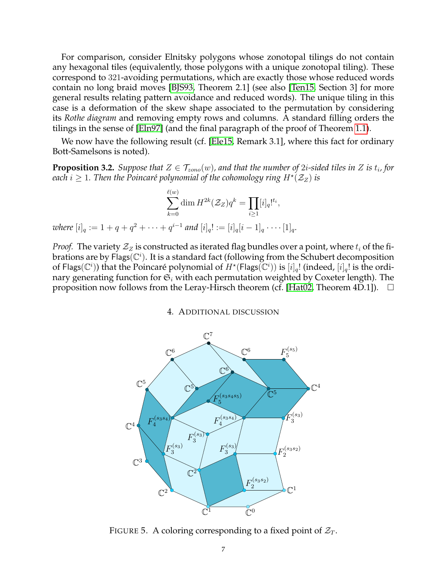For comparison, consider Elnitsky polygons whose zonotopal tilings do not contain any hexagonal tiles (equivalently, those polygons with a unique zonotopal tiling). These correspond to 321-avoiding permutations, which are exactly those whose reduced words contain no long braid moves [\[BJS93,](#page-8-11) Theorem 2.1] (see also [\[Ten15,](#page-8-12) Section 3] for more general results relating pattern avoidance and reduced words). The unique tiling in this case is a deformation of the skew shape associated to the permutation by considering its *Rothe diagram* and removing empty rows and columns. A standard filling orders the tilings in the sense of [\[Eln97\]](#page-8-5) (and the final paragraph of the proof of Theorem [1.1\)](#page-1-1).

We now have the following result (cf. [\[Ele15,](#page-8-13) Remark 3.1], where this fact for ordinary Bott-Samelsons is noted).

**Proposition 3.2.** Suppose that  $Z \in \mathcal{T}_{zono}(w)$ , and that the number of  $2i$ -sided tiles in  $Z$  is  $t_i$ , for each  $i\geq 1.$  Then the Poincaré polynomial of the cohomology ring  $H^\star(\mathcal{Z}_Z)$  is

$$
\sum_{k=0}^{\ell(w)} \dim H^{2k}(\mathcal{Z}_Z) q^k = \prod_{i \ge 1} [i]_q!^{t_i},
$$
  
where  $[i]_q := 1 + q + q^2 + \cdots + q^{i-1}$  and  $[i]_q! := [i]_q[i-1]_q \cdots [1]_q.$ 

<span id="page-6-0"></span>*Proof.* The variety  $\mathcal{Z}_Z$  is constructed as iterated flag bundles over a point, where  $t_i$  of the fibrations are by Flags( $\mathbb{C}^i$ ). It is a standard fact (following from the Schubert decomposition of Flags $(\mathbb{C}^i)$ ) that the Poincaré polynomial of  $H^*(F$ lags $(\mathbb{C}^i))$  is  $[i]_q!$  (indeed,  $[i]_q!$  is the ordinary generating function for  $\mathfrak{S}_i$  with each permutation weighted by Coxeter length). The proposition now follows from the Leray-Hirsch theorem (cf. [\[Hat02,](#page-8-14) Theorem 4D.1]).  $\Box$ 

4. ADDITIONAL DISCUSSION



<span id="page-6-1"></span>FIGURE 5. A coloring corresponding to a fixed point of  $\mathcal{Z}_T$ .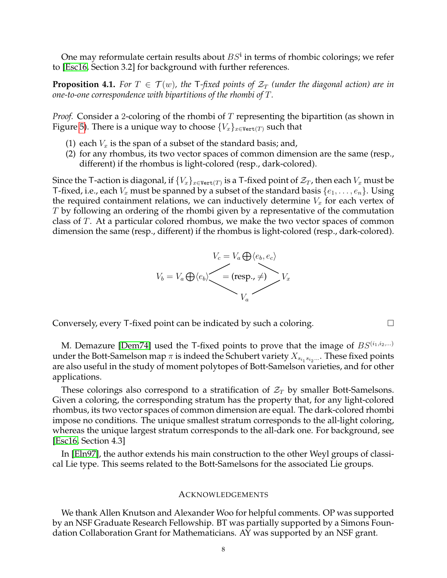One may reformulate certain results about  $BS^i$  in terms of rhombic colorings; we refer to [\[Esc16,](#page-8-15) Section 3.2] for background with further references.

**Proposition 4.1.** For  $T \in \mathcal{T}(w)$ , the T-fixed points of  $\mathcal{Z}_T$  (under the diagonal action) are in *one-to-one correspondence with bipartitions of the rhombi of* T*.*

*Proof.* Consider a 2-coloring of the rhombi of T representing the bipartition (as shown in Figure [5\)](#page-6-1). There is a unique way to choose  ${V_x}_{x \in \text{Vert}(T)}$  such that

- (1) each  $V_x$  is the span of a subset of the standard basis; and,
- (2) for any rhombus, its two vector spaces of common dimension are the same (resp., different) if the rhombus is light-colored (resp., dark-colored).

Since the T-action is diagonal, if  $\{V_x\}_{x\in \mathtt{Vert}(T)}$  is a T-fixed point of  $\mathcal{Z}_T$ , then each  $V_x$  must be T-fixed, i.e., each  $V_x$  must be spanned by a subset of the standard basis  $\{e_1, \ldots, e_n\}$ . Using the required containment relations, we can inductively determine  $V_x$  for each vertex of T by following an ordering of the rhombi given by a representative of the commutation class of T. At a particular colored rhombus, we make the two vector spaces of common dimension the same (resp., different) if the rhombus is light-colored (resp., dark-colored).



Conversely, every T-fixed point can be indicated by such a coloring.

M. Demazure [\[Dem74\]](#page-8-2) used the T-fixed points to prove that the image of  $BS^{(i_1,i_2,...)}$ under the Bott-Samelson map  $\pi$  is indeed the Schubert variety  $X_{s_{i_1}s_{i_2}...}$ . These fixed points are also useful in the study of moment polytopes of Bott-Samelson varieties, and for other applications.

These colorings also correspond to a stratification of  $\mathcal{Z}_T$  by smaller Bott-Samelsons. Given a coloring, the corresponding stratum has the property that, for any light-colored rhombus, its two vector spaces of common dimension are equal. The dark-colored rhombi impose no conditions. The unique smallest stratum corresponds to the all-light coloring, whereas the unique largest stratum corresponds to the all-dark one. For background, see [\[Esc16,](#page-8-15) Section 4.3]

In [\[Eln97\]](#page-8-5), the author extends his main construction to the other Weyl groups of classical Lie type. This seems related to the Bott-Samelsons for the associated Lie groups.

#### ACKNOWLEDGEMENTS

We thank Allen Knutson and Alexander Woo for helpful comments. OP was supported by an NSF Graduate Research Fellowship. BT was partially supported by a Simons Foundation Collaboration Grant for Mathematicians. AY was supported by an NSF grant.